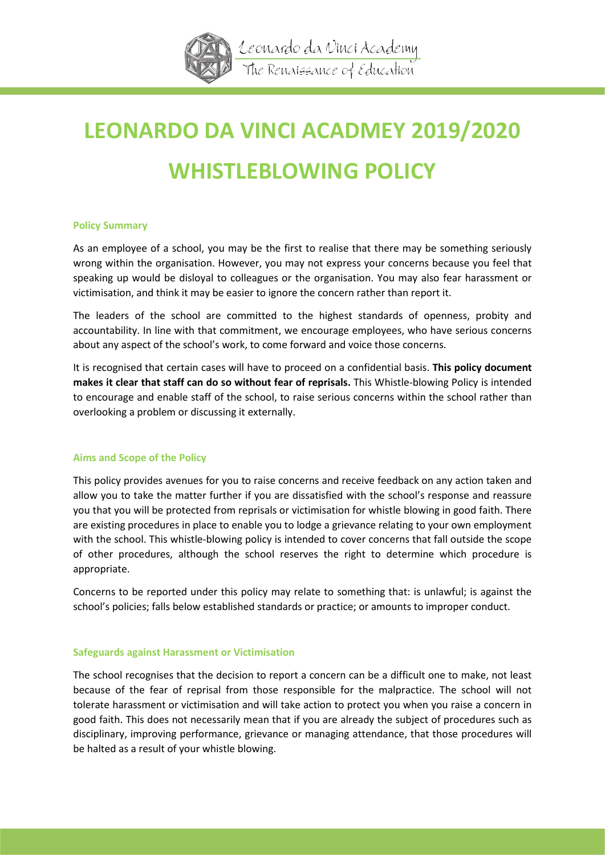

# **LEONARDO DA VINCI ACADMEY 2019/2020 WHISTLEBLOWING POLICY**

## **Policy Summary**

As an employee of a school, you may be the first to realise that there may be something seriously wrong within the organisation. However, you may not express your concerns because you feel that speaking up would be disloyal to colleagues or the organisation. You may also fear harassment or victimisation, and think it may be easier to ignore the concern rather than report it.

The leaders of the school are committed to the highest standards of openness, probity and accountability. In line with that commitment, we encourage employees, who have serious concerns about any aspect of the school's work, to come forward and voice those concerns.

It is recognised that certain cases will have to proceed on a confidential basis. **This policy document makes it clear that staff can do so without fear of reprisals.** This Whistle-blowing Policy is intended to encourage and enable staff of the school, to raise serious concerns within the school rather than overlooking a problem or discussing it externally.

# **Aims and Scope of the Policy**

This policy provides avenues for you to raise concerns and receive feedback on any action taken and allow you to take the matter further if you are dissatisfied with the school's response and reassure you that you will be protected from reprisals or victimisation for whistle blowing in good faith. There are existing procedures in place to enable you to lodge a grievance relating to your own employment with the school. This whistle-blowing policy is intended to cover concerns that fall outside the scope of other procedures, although the school reserves the right to determine which procedure is appropriate.

Concerns to be reported under this policy may relate to something that: is unlawful; is against the school's policies; falls below established standards or practice; or amounts to improper conduct.

## **Safeguards against Harassment or Victimisation**

The school recognises that the decision to report a concern can be a difficult one to make, not least because of the fear of reprisal from those responsible for the malpractice. The school will not tolerate harassment or victimisation and will take action to protect you when you raise a concern in good faith. This does not necessarily mean that if you are already the subject of procedures such as disciplinary, improving performance, grievance or managing attendance, that those procedures will be halted as a result of your whistle blowing.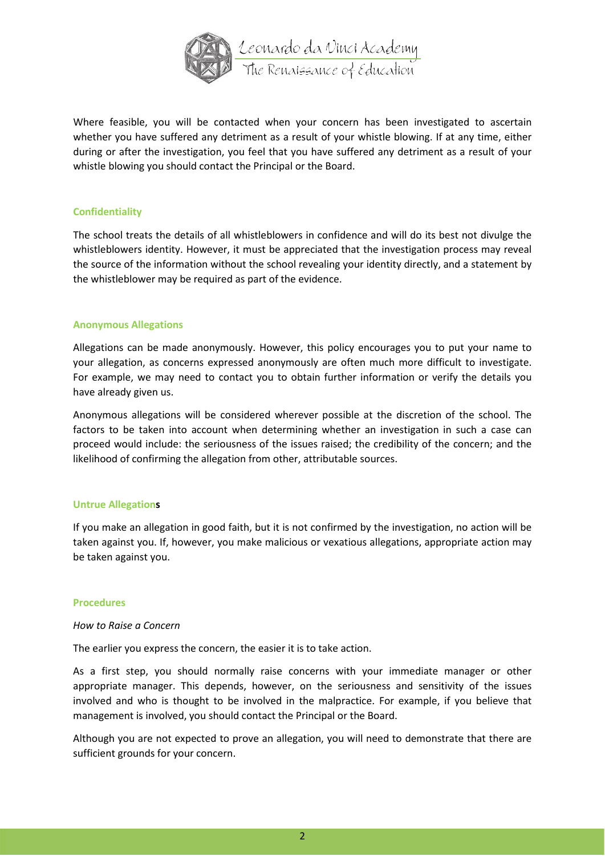

Where feasible, you will be contacted when your concern has been investigated to ascertain whether you have suffered any detriment as a result of your whistle blowing. If at any time, either during or after the investigation, you feel that you have suffered any detriment as a result of your whistle blowing you should contact the Principal or the Board.

## **Confidentiality**

The school treats the details of all whistleblowers in confidence and will do its best not divulge the whistleblowers identity. However, it must be appreciated that the investigation process may reveal the source of the information without the school revealing your identity directly, and a statement by the whistleblower may be required as part of the evidence.

## **Anonymous Allegations**

Allegations can be made anonymously. However, this policy encourages you to put your name to your allegation, as concerns expressed anonymously are often much more difficult to investigate. For example, we may need to contact you to obtain further information or verify the details you have already given us.

Anonymous allegations will be considered wherever possible at the discretion of the school. The factors to be taken into account when determining whether an investigation in such a case can proceed would include: the seriousness of the issues raised; the credibility of the concern; and the likelihood of confirming the allegation from other, attributable sources.

## **Untrue Allegations**

If you make an allegation in good faith, but it is not confirmed by the investigation, no action will be taken against you. If, however, you make malicious or vexatious allegations, appropriate action may be taken against you.

## **Procedures**

## *How to Raise a Concern*

The earlier you express the concern, the easier it is to take action.

As a first step, you should normally raise concerns with your immediate manager or other appropriate manager. This depends, however, on the seriousness and sensitivity of the issues involved and who is thought to be involved in the malpractice. For example, if you believe that management is involved, you should contact the Principal or the Board.

Although you are not expected to prove an allegation, you will need to demonstrate that there are sufficient grounds for your concern.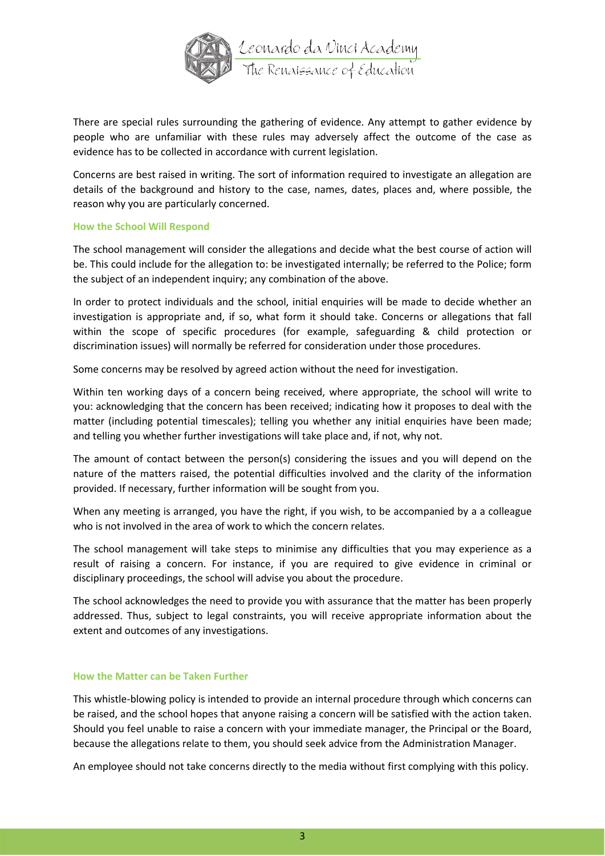

There are special rules surrounding the gathering of evidence. Any attempt to gather evidence by people who are unfamiliar with these rules may adversely affect the outcome of the case as evidence has to be collected in accordance with current legislation.

Concerns are best raised in writing. The sort of information required to investigate an allegation are details of the background and history to the case, names, dates, places and, where possible, the reason why you are particularly concerned.

## **How the School Will Respond**

The school management will consider the allegations and decide what the best course of action will be. This could include for the allegation to: be investigated internally; be referred to the Police; form the subject of an independent inquiry; any combination of the above.

In order to protect individuals and the school, initial enquiries will be made to decide whether an investigation is appropriate and, if so, what form it should take. Concerns or allegations that fall within the scope of specific procedures (for example, safeguarding & child protection or discrimination issues) will normally be referred for consideration under those procedures.

Some concerns may be resolved by agreed action without the need for investigation.

Within ten working days of a concern being received, where appropriate, the school will write to you: acknowledging that the concern has been received; indicating how it proposes to deal with the matter (including potential timescales); telling you whether any initial enquiries have been made; and telling you whether further investigations will take place and, if not, why not.

The amount of contact between the person(s) considering the issues and you will depend on the nature of the matters raised, the potential difficulties involved and the clarity of the information provided. If necessary, further information will be sought from you.

When any meeting is arranged, you have the right, if you wish, to be accompanied by a a colleague who is not involved in the area of work to which the concern relates.

The school management will take steps to minimise any difficulties that you may experience as a result of raising a concern. For instance, if you are required to give evidence in criminal or disciplinary proceedings, the school will advise you about the procedure.

The school acknowledges the need to provide you with assurance that the matter has been properly addressed. Thus, subject to legal constraints, you will receive appropriate information about the extent and outcomes of any investigations.

#### **How the Matter can be Taken Further**

This whistle-blowing policy is intended to provide an internal procedure through which concerns can be raised, and the school hopes that anyone raising a concern will be satisfied with the action taken. Should you feel unable to raise a concern with your immediate manager, the Principal or the Board, because the allegations relate to them, you should seek advice from the Administration Manager.

An employee should not take concerns directly to the media without first complying with this policy.